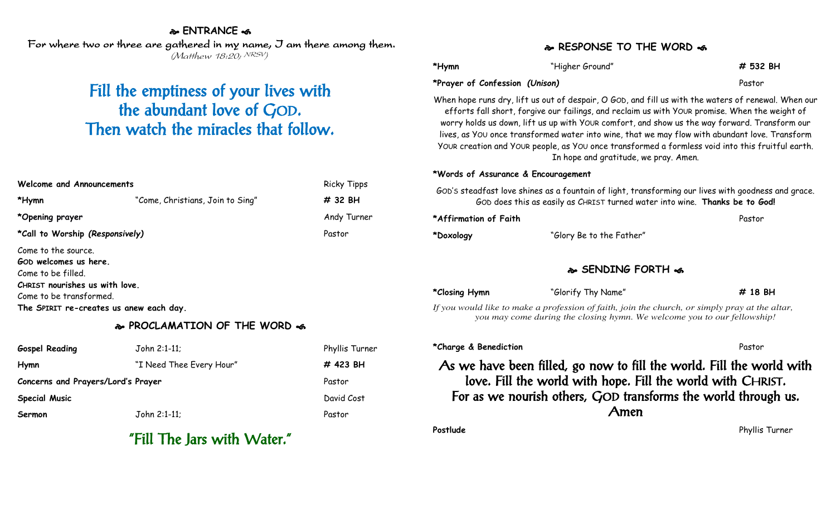## **ENTRANCE**

For where two or three are gathered in my name, I am there among them. (Matthew 18:20; NRSV)

# Fill the emptiness of your lives with the abundant love of GOD. Then watch the miracles that follow.

| Welcome and Announcements                                          |                                  | <b>Ricky Tipps</b> |
|--------------------------------------------------------------------|----------------------------------|--------------------|
| *Hymn                                                              | "Come, Christians, Join to Sing" | # 32 BH            |
| *Opening prayer                                                    |                                  | Andy Turner        |
| *Call to Worship (Responsively)                                    |                                  | Pastor             |
| Come to the source.<br>GOD welcomes us here.                       |                                  |                    |
| Come to be filled.<br>CHRIST nourishes us with love.               |                                  |                    |
| Come to be transformed.<br>The SPIRIT re-creates us anew each day. |                                  |                    |

## **PROCLAMATION OF THE WORD**

| <b>Gospel Reading</b>              | John 2:1-11;             | Phyllis Turner |
|------------------------------------|--------------------------|----------------|
| Hymn                               | "I Need Thee Every Hour" | # 423 BH       |
| Concerns and Prayers/Lord's Prayer |                          | Pastor         |
| <b>Special Music</b>               |                          | David Cost     |
| Sermon                             | John 2:1-11;             | Pastor         |

# "Fill The Jars with Water."

## **RESPONSE TO THE WORD**

| *Hymn                          | "Higher Ground" | # 532 BH |
|--------------------------------|-----------------|----------|
| *Prayer of Confession (Unison) |                 | Pastor   |

When hope runs dry, lift us out of despair, O GOD, and fill us with the waters of renewal. When our efforts fall short, forgive our failings, and reclaim us with YOUR promise. When the weight of worry holds us down, lift us up with YOUR comfort, and show us the way forward. Transform our lives, as YOU once transformed water into wine, that we may flow with abundant love. Transform YOUR creation and YOUR people, as YOU once transformed a formless void into this fruitful earth. In hope and gratitude, we pray. Amen.

### **\*Words of Assurance & Encouragement**

GOD'S steadfast love shines as a fountain of light, transforming our lives with goodness and grace. GOD does this as easily as CHRIST turned water into wine. **Thanks be to God!**

| *Affirmation of Faith |                          | Pastor |
|-----------------------|--------------------------|--------|
| *Doxology             | "Glory Be to the Father" |        |

## **SENDING FORTH**

| *Closing Hymn | "Glorify Thy Name"                                                                        | # 18 BH |
|---------------|-------------------------------------------------------------------------------------------|---------|
|               | If you would like to make a profession of faith, join the church, or simply pray at the a |         |

*If you would like to make a profession of faith, join the church, or simply pray at the altar, you may come during the closing hymn. We welcome you to our fellowship!*

#### **\*Charge & Benediction** Pastor

As we have been filled, go now to fill the world. Fill the world with love. Fill the world with hope. Fill the world with CHRIST. For as we nourish others, GOD transforms the world through us. Amen

**Postlude** Phyllis Turner